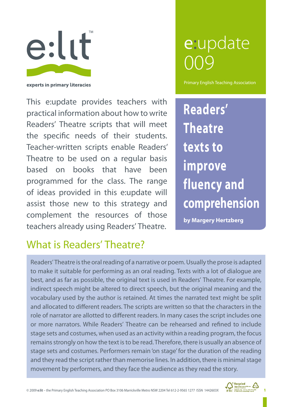

experts in primary literacies

This e:update provides teachers with practical information about how to write Readers' Theatre scripts that will meet the specific needs of their students. Teacher-written scripts enable Readers' Theatre to be used on a regular basis based on books that have been programmed for the class. The range of ideas provided in this e:update will assist those new to this strategy and complement the resources of those teachers already using Readers' Theatre.

# What is Readers' Theatre?

# e:update 009

Primary English Teaching Association

**Readers' Theatre texts to improve fluency and comprehension**

**by Margery Hertzberg**

Readers' Theatre is the oral reading of a narrative or poem. Usually the prose is adapted to make it suitable for performing as an oral reading. Texts with a lot of dialogue are best, and as far as possible, the original text is used in Readers' Theatre. For example, indirect speech might be altered to direct speech, but the original meaning and the vocabulary used by the author is retained. At times the narrated text might be split and allocated to different readers. The scripts are written so that the characters in the role of narrator are allotted to different readers. In many cases the script includes one or more narrators. While Readers' Theatre can be rehearsed and refined to include stage sets and costumes, when used as an activity within a reading program, the focus remains strongly on how the text is to be read. Therefore, there is usually an absence of stage sets and costumes. Performers remain 'on stage' for the duration of the reading and they read the script rather than memorise lines. In addition, there is minimal stage movement by performers, and they face the audience as they read the story.



1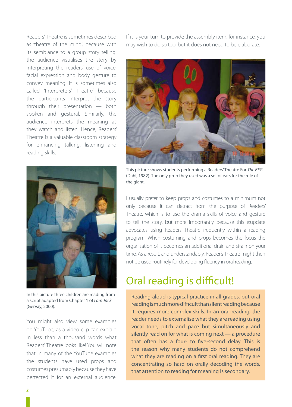Readers' Theatre is sometimes described as 'theatre of the mind', because with its semblance to a group story telling, the audience visualises the story by interpreting the readers' use of voice, facial expression and body gesture to convey meaning. It is sometimes also called 'Interpreters' Theatre' because the participants interpret the story through their presentation — both spoken and gestural. Similarly, the audience interprets the meaning as they watch and listen. Hence, Readers' Theatre is a valuable classroom strategy for enhancing talking, listening and reading skills.



In this picture three children are reading from a script adapted from Chapter 1 of *I am Jack* (Gervay, 2000).

You might also view some examples on YouTube, as a video clip can explain in less than a thousand words what Readers' Theatre looks like! You will note that in many of the YouTube examples the students have used props and costumes presumably because they have perfected it for an external audience.

If it is your turn to provide the assembly item, for instance, you may wish to do so too, but it does not need to be elaborate.



This picture shows students performing a Readers' Theatre For *The BFG* (Dahl, 1982). The only prop they used was a set of ears for the role of the giant.

I usually prefer to keep props and costumes to a minimum not only because it can detract from the purpose of Readers' Theatre, which is to use the drama skills of voice and gesture to tell the story, but more importantly because this e:update advocates using Readers' Theatre frequently within a reading program. When costuming and props becomes the focus the organisation of it becomes an additional drain and strain on your time. As a result, and understandably, Reader's Theatre might then not be used routinely for developing fluency in oral reading.

### Oral reading is difficult!

Reading aloud is typical practice in all grades, but oral reading is much more difficult than silent reading because it requires more complex skills. In an oral reading, the reader needs to externalise what they are reading using vocal tone, pitch and pace but simultaneously and silently read on for what is coming next — a procedure that often has a four- to five-second delay. This is the reason why many students do not comprehend what they are reading on a first oral reading. They are concentrating so hard on orally decoding the words, that attention to reading for meaning is secondary.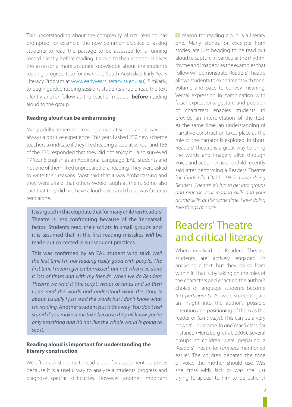This understanding about the complexity of oral reading has prompted, for example, the now common practice of asking students to read the passage to be assessed for a running record silently, before reading it aloud to their assessor. It gives the assessor a more accurate knowledge about the student's reading progress (see for example, South Australia's Early Years Literacy Program at www.earlyyearsliteracy.sa.edu.au). Similarly, to begin guided reading sessions students should read the text silently and/or follow as the teacher models, **before** reading aloud to the group.

#### **Reading aloud can be embarrassing**

Many adults remember reading aloud at school and it was not always a positive experience. This year, I asked 230 new scheme teachers to indicate if they liked reading aloud at school and 186 of the 230 responded that they did not enjoy it. I also surveyed 17 Year 6 English as an Additional Language (EAL) students and not one of them liked unprepared oral reading. They were asked to write their reasons. Most said that it was embarrassing and they were afraid that others would laugh at them. Some also said that they did not have a loud voice and that it was faster to read alone.

It is argued in this e:update that for many children Readers' Theatre is less confronting because of the 'rehearsal' factor. Students read their scripts in small groups and it is assumed that in the first reading mistakes *will* be made but corrected in subsequent practices.

This was confirmed by an EAL student who said: *Well the first time I'm not reading really good with people. The first time I mean I get embarrassed, but not when I've done it lots of times and with my friends. When we do Readers' Theatre we read it (the script) heaps of times and so then I can read the words and understand what the story is about. Usually I just read the words but I don't know what I'm reading.* Another student put it this way: *You don't feel stupid if you make a mistake because they all know you're only practising and it's not like the whole world is going to see it.* 

#### **Reading aloud is important for understanding the literary construction**

We often ask students to read aloud for assessment purposes because it is a useful way to analyse a students' progress and diagnose specific difficulties. However, another important **D** reason for reading aloud is a literary one. Many stories, or excerpts from stories, are just begging to be read out aloud to capture in particular the rhythm, rhyme and imagery, as the examples that follow will demonstrate. Readers' Theatre allows students to experiment with tone, volume and pace to convey meaning. Verbal expression in combination with facial expressions, gesture and position of characters enables students to provide an interpretation of the text. At the same time, an understanding of narrative construction takes place as the role of the narrator is explored. In short, Readers' Theatre is a great way to bring the words and imagery alive through voice and action or as one child recently said after performing a Readers' Theatre for *Cinderella* (Dahl, 1980): *I love doing Readers' Theatre. It's fun to get into groups and practise your reading skills and your drama skills at the same time. I love doing two things at once!*

# Readers' Theatre and critical literacy

When involved in Readers' Theatre, students are actively engaged in analysing a text, but they do so from within it. That is, by taking on the roles of the characters and enacting the author's choice of language students become *text participants*. As well, students gain an insight into the author's possible intention and positioning of them as the reader or *text analyst*. This can be a very powerful outcome. In one Year 5 class, for instance (Hertzberg et al, 2006), several groups of children were preparing a Readers' Theatre for *I am Jack* mentioned earlier. The children debated the tone of voice the mother should use. Was she cross with Jack or was she just trying to appeal to him to be patient?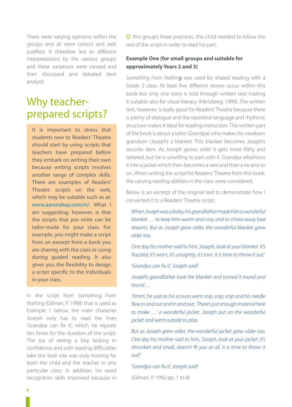There were varying opinions within the groups and all were correct and well justified. It therefore led to different interpretations by the various groups and these variations were viewed and then discussed and debated (text analyst).

### Why teacherprepared scripts?

It is important to stress that students new to Readers' Theatre should start by using scripts that teachers have prepared before they embark on writing their own because writing scripts involves another range of complex skills. There are examples of Readers' Theatre scripts on the web, which may be suitable such as at: www.aaronshep.com/rt/. What I am suggesting, however, is that the scripts that *you* write can be tailor-made for your class. For example, you might make a script from an excerpt from a book you are sharing with the class or using during guided reading. It also gives you the flexibility to design a script specific to the individuals in your class.

In the script from *Something From Nothing* (Gilman, P. 1998) that is used as Example 1 below, the main character Joseph only has to read the lines 'Grandpa can fix it', which he repeats ten times for the duration of the script. The joy of seeing a boy lacking in confidence and with reading difficulties take the lead role was truly moving for both the child and the teacher in one particular class. In addition, his word recognition skills improved because in I this group's three practices, this child needed to follow the rest of the script in order to read his part.

#### **Example One (for small groups and suitable for approximately Years 2 and 3)**

*Something From Nothing* was used for shared reading with a Grade 2 class. At least five different stories occur within this book but only one story is told through written text making it suitable also for visual literacy (Hertzberg, 1999). The written text, however, is really good for Readers' Theatre because there is plenty of dialogue and the repetitive language and rhythmic structure makes it ideal for reading instruction. This written part of the book is about a tailor (Grandpa) who makes his newborn grandson (Joseph) a blanket. This blanket becomes Joseph's security item. As Joseph grows older it gets more filthy and tattered, but he is unwilling to part with it. Grandpa refashions it into a jacket which then becomes a vest and then a tie and so on. When writing the script for Readers' Theatre from this book, the varying reading abilities in the class were considered.

Below is an excerpt of the original text to demonstrate how I converted it to a Readers' Theatre script.

*When Joseph was a baby, his grandfather made him a wonderful blanket … to keep him warm and cosy and to chase away bad dreams. But as Joseph grew older, the wonderful blanket grew older too.* 

*One day his mother said to him, 'Joseph, look at your blanket. It's frazzled, it's worn, it's unsightly, it's torn. It is time to throw it out.'*

*'Grandpa can fix it,' Joseph said!*

*Joseph's grandfather took the blanket and turned it round and round …*

*'Hmm,' he said as his scissors went snip, snip, snip and his needle flew in and out and in and out, 'There's just enough material here to make …' a wonderful jacket. Joseph put on the wonderful jacket and went outside to play.*

*But as Joseph grew older, the wonderful jacket grew older too. One day his mother said to him, 'Joseph, look at your jacket. It's shrunken and small, doesn't fit you at all. It is time to throw it out!'*

*'Grandpa can fix it,' Joseph said!*

(Gilman, P. 1992 pp. 1 to 8)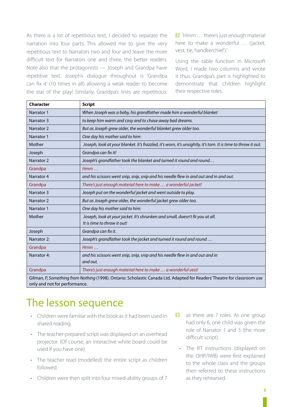As there is a lot of repetitious text, I decided to separate the narration into four parts. This allowed me to give the very repetitious text to Narrators two and four and leave the more difficult text for Narrators one and three, the better readers. Note also that the protagonists — Joseph and Grandpa have repetitive text. Joseph's dialogue throughout is 'Grandpa can fix it' (10 times in all) allowing a weak reader to become the star of the play! Similarly, Grandpa's lines are repetitious: **>** 'Hmm ... there's just enough material here to make a wonderful *…* (jacket, vest, tie, handkerchief).'

Using the table function in Microsoft Word, I made two columns and wrote it thus. Grandpa's part is highlighted to demonstrate that children highlight their respective roles.

| <b>Character</b> | <b>Script</b>                                                                                                            |  |  |
|------------------|--------------------------------------------------------------------------------------------------------------------------|--|--|
| Narrator 1       | When Joseph was a baby, his grandfather made him a wonderful blanket                                                     |  |  |
| Narrator 3       | to keep him warm and cosy and to chase away bad dreams.                                                                  |  |  |
| Narrator 2       | But as Joseph grew older, the wonderful blanket grew older too.                                                          |  |  |
| Narrator 1       | One day his mother said to him:                                                                                          |  |  |
| Mother           | Joseph, look at your blanket. It's frazzled, it's worn, it's unsightly, it's torn. It is time to throw it out.           |  |  |
| Joseph           | Grandpa can fix it!                                                                                                      |  |  |
| Narrator 2       | Joseph's grandfather took the blanket and turned it round and round                                                      |  |  |
| Grandpa          | Hmm                                                                                                                      |  |  |
| Narrator 4       | and his scissors went snip, snip, snip and his needle flew in and out and in and out.                                    |  |  |
| Grandpa          | There's just enough material here to make  a wonderful jacket!                                                           |  |  |
| Narrator 3       | Joseph put on the wonderful jacket and went outside to play.                                                             |  |  |
| Narrator 2       | But as Joseph grew older, the wonderful jacket grew older too.                                                           |  |  |
| Narrator 1       | One day his mother said to him:                                                                                          |  |  |
| Mother           | Joseph, look at your jacket. It's shrunken and small, doesn't fit you at all.<br>It is time to throw it out!             |  |  |
| Joseph           | Grandpa can fix it.                                                                                                      |  |  |
| Narrator 2:      | Joseph's grandfather took the jacket and turned it round and round                                                       |  |  |
| Grandpa          | Hmm                                                                                                                      |  |  |
| Narrator 4:      | and his scissors went snip, snip, snip and his needle flew in and out and in<br>and out.                                 |  |  |
| Grandpa          | There's just enough material here to make  a wonderful vest!                                                             |  |  |
|                  | Gilman, P, Something from Nothing (1998). Ontario: Scholastic Canada Ltd. Adapted for Readers' Theatre for classroom use |  |  |

only and not for performance.

# The lesson sequence

- Children were familiar with the book as it had been used in shared reading.
- The teacher-prepared script was displayed on an overhead projector. (Of course, an interactive white board could be used if you have one).
- The teacher read (modelled) the entire script as children followed.
- Children were then split into four mixed-ability groups of 7
- $\blacktriangleright$ as there are 7 roles. As one group had only 6, one child was given the role of Narrator 1 and 3 (the more difficult script).
	- The RT instructions (displayed on the OHP/IWB) were first explained to the whole class and the groups then referred to these instructions as they rehearsed.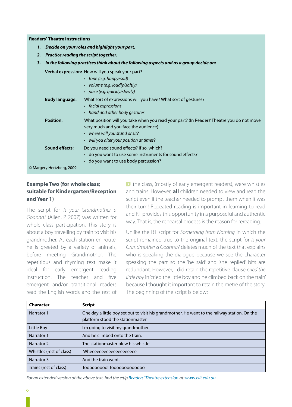#### **Readers' Theatre Instructions**

- *1. Decide on yourroles and highlight your part.*
- *2. Practice reading the script together.*
- *3. In the following practices think about the following aspects and as a group decide on:*

**Verbal expression:** How will you speak your part?

|                           | $\cdot$ tone (e.g. happy/sad)<br>• volume (e.g. loudly/softly)<br>• pace (e.g. quickly/slowly)                                                                                                                  |
|---------------------------|-----------------------------------------------------------------------------------------------------------------------------------------------------------------------------------------------------------------|
| <b>Body language:</b>     | What sort of expressions will you have? What sort of gestures?<br>• facial expressions<br>• hand and other body gestures                                                                                        |
| <b>Position:</b>          | What position will you take when you read your part? (In Readers' Theatre you do not move<br>very much and you face the audience)<br>• where will you stand or sit?<br>• will you alter your position at times? |
| Sound effects:            | Do you need sound effects? If so, which?<br>• do you want to use some instruments for sound effects?<br>• do you want to use body percussion?                                                                   |
| © Margery Hertzberg, 2009 |                                                                                                                                                                                                                 |

#### **Example Two (for whole class; suitable for Kindergarten/Reception and Year 1)**

The script for *Is your Grandmother a Goanna?* (Allen, P. 2007) was written for whole class participation. This story is about a boy travelling by train to visit his grandmother. At each station en route, he is greeted by a variety of animals, before meeting Grandmother. The repetitious and rhyming text make it ideal for early emergent reading instruction. The teacher and five emergent and/or transitional readers read the English words and the rest of  $\triangleright$  the class, (mostly of early emergent readers), were whistles and trains. However, **all** children needed to view and read the script even if the teacher needed to prompt them when it was their turn! Repeated reading is important in learning to read and RT provides this opportunity in a purposeful and authentic way. That is, the rehearsal process is the reason for rereading.

Unlike the RT script for *Something from Nothing* in which the script remained true to the original text, the script for *Is your Grandmother a Goanna?* deletes much of the text that explains who is speaking the dialogue because we see the character speaking the part so the 'he said' and 'she replied' bits are redundant. However, I did retain the repetitive clause *cried the little boy* in 'cried the little boy and he climbed back on the train' because I thought it important to retain the metre of the story. The beginning of the script is below:

| <b>Character</b>         | <b>Script</b>                                                                                                                      |
|--------------------------|------------------------------------------------------------------------------------------------------------------------------------|
| Narrator 1               | One day a little boy set out to visit his grandmother. He went to the railway station. On the<br>platform stood the stationmaster. |
| Little Boy               | I'm going to visit my grandmother.                                                                                                 |
| Narrator 1               | And he climbed onto the train.                                                                                                     |
| Narrator <sub>2</sub>    | The stationmaster blew his whistle.                                                                                                |
| Whistles (rest of class) | Wheeeeeeeeeeeeeeeeeee                                                                                                              |
| Narrator 3               | And the train went.                                                                                                                |
| Trains (rest of class)   | Tooooooooo! Toooooooooooooo                                                                                                        |

*For an extended version of the above text, find the e:tip Readers' Theatre extension at: www.elit.edu.au*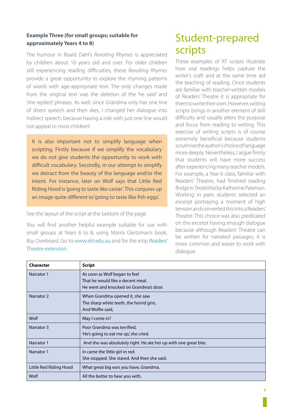#### **Example Three (for small groups; suitable for approximately Years 4 to 8)**

The humour in Roald Dahl's *Revolting Rhymes* is appreciated by children about 10 years old and over. For older children still experiencing reading difficulties, these *Revolting Rhymes* provide a great opportunity to explore the rhyming patterns of words with age-appropriate text. The only changes made from the original text was the deletion of the 'he said' and 'she replied' phrases. As well, since Grandma only has one line of direct speech and then dies, I changed her dialogue into indirect speech, because having a role with just one line would not appeal to most children!

It is also important not to simplify language when scripting. Firstly because if we simplify the vocabulary we do not give students the opportunity to work with difficult vocabulary. Secondly, in our attempt to simplify we detract from the beauty of the language and/or the intent. For instance, later on Wolf says that Little Red Riding Hood is 'going to taste like caviar'. This conjures up an image quite different to 'going to taste like fish eggs'.

See the layout of the script at the bottom of the page.

You will find another helpful example suitable for use with small groups at Years 6 to 8, using Morris Gleitzman's book, *Boy Overboard.* Go to www.elit.edu.au and for the e:tip Readers' Theatre extension.

## Student-prepared scripts

These examples of RT scripts illustrate how oral readings helps capture the writer's craft and at the same time aid the teaching of reading. Once students are familiar with teacher-written models of Readers' Theatre it is appropriate for them to write their own. However, writing scripts brings in another element of skill difficulty and usually alters the purpose and focus from reading to writing. This exercise of writing scripts is of course extremely beneficial because students scrutinise the author's choice of language more deeply. Nevertheless, I argue firmly that students will have more success after experiencing many teacher models. For example, a Year 6 class, familiar with Readers' Theatre, had finished reading *Bridge to Terabithia* by Katherine Paterson. Working in pairs students selected an excerpt portraying a moment of high tension and converted this into a Readers' Theatre. This choice was also predicated on the excerpt having enough dialogue because although Readers' Theatre can be written for narrated passages, it is more common and easier to work with dialogue.

| <b>Character</b>       | <b>Script</b>                                                    |
|------------------------|------------------------------------------------------------------|
| Narrator 1             | As soon as Wolf began to feel                                    |
|                        | That he would like a decent meal.                                |
|                        | He went and knocked on Grandma's door.                           |
| Narrator 2             | When Grandma opened it, she saw                                  |
|                        | The sharp white teeth, the horrid grin,                          |
|                        | And Wolfie said,                                                 |
| Wolf                   | May I come in?                                                   |
| Narrator 3             | Poor Grandma was terrified,                                      |
|                        | 'He's going to eat me up,' she cried.                            |
| Narrator 1             | And she was absolutely right. He ate her up with one great bite. |
| Narrator 1             | In came the little girl in red.                                  |
|                        | She stopped. She stared. And then she said.                      |
| Little Red Riding Hood | What great big ears you have, Grandma.                           |
| Wolf                   | All the better to hear you with.                                 |